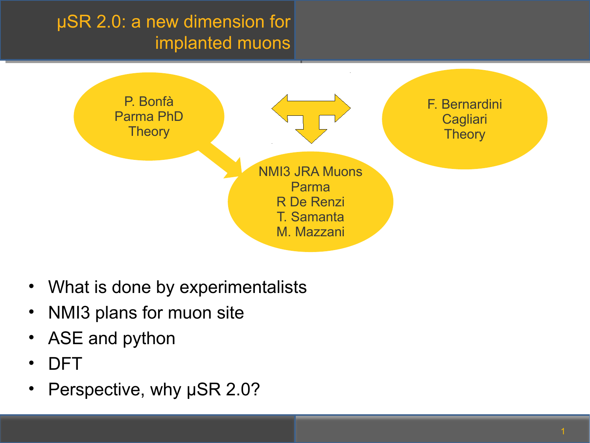# µSR 2.0: a new dimension for implanted muons



- What is done by experimentalists
- NMI3 plans for muon site
- ASE and python
- DFT
- Perspective, why uSR 2.0?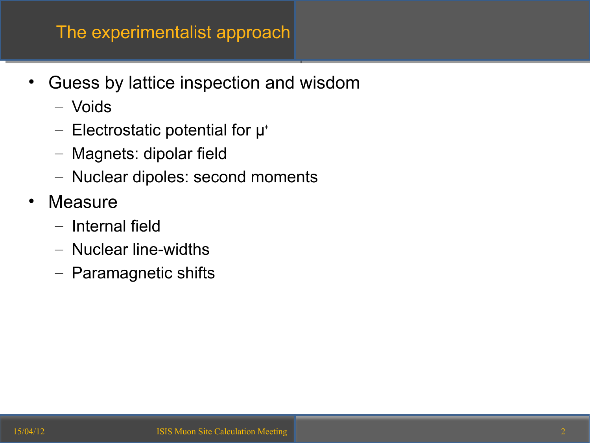- Guess by lattice inspection and wisdom
	- Voids
	- $-$  Electrostatic potential for  $\mu^*$
	- Magnets: dipolar field
	- Nuclear dipoles: second moments
- **Measure** 
	- Internal field
	- Nuclear line-widths
	- Paramagnetic shifts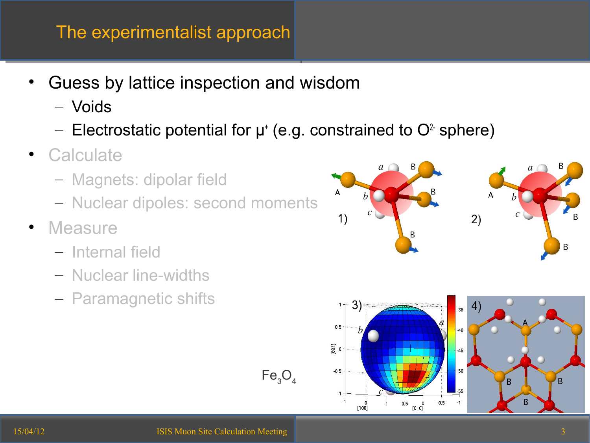- Guess by lattice inspection and wisdom
	- Voids
	- Electrostatic potential for  $\mu^*$  (e.g. constrained to  $O^2$  sphere)

 $Fe<sub>3</sub>O<sub>4</sub>$ 

- **Calculate** 
	- Magnets: dipolar field
	- Nuclear dipoles: second moments
- **Measure** 
	- Internal field
	- Nuclear line-widths
	- Paramagnetic shifts

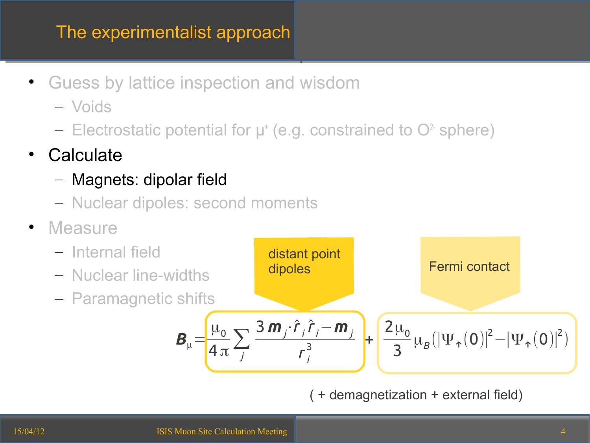- Guess by lattice inspection and wisdom
	- Voids
	- Electrostatic potential for  $\mu^*$  (e.g. constrained to  $O^2$  sphere)
- **Calculate** 
	- Magnets: dipolar field
	- Nuclear dipoles: second moments
- **Measure**



( + demagnetization + external field)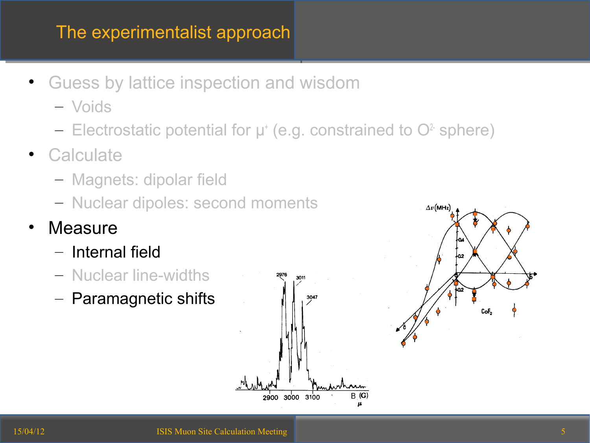- Guess by lattice inspection and wisdom
	- Voids
	- Electrostatic potential for  $\mu^*$  (e.g. constrained to  $O^2$  sphere)
- Calculate
	- Magnets: dipolar field
	- Nuclear dipoles: second moments
- **Measure** 
	- Internal field
	- Nuclear line-widths
	- Paramagnetic shifts



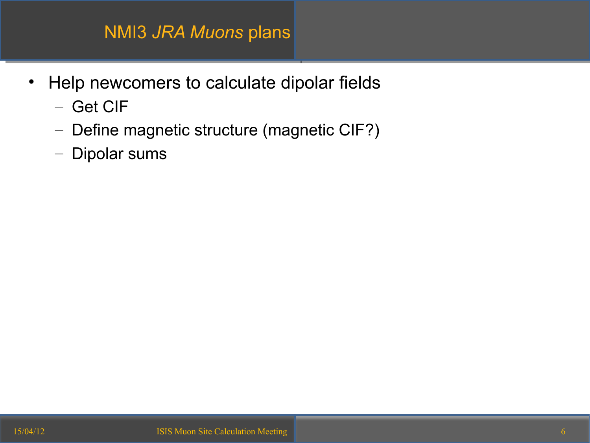#### NMI3 *JRA Muons* plans

- Help newcomers to calculate dipolar fields
	- Get CIF
	- Define magnetic structure (magnetic CIF?)
	- Dipolar sums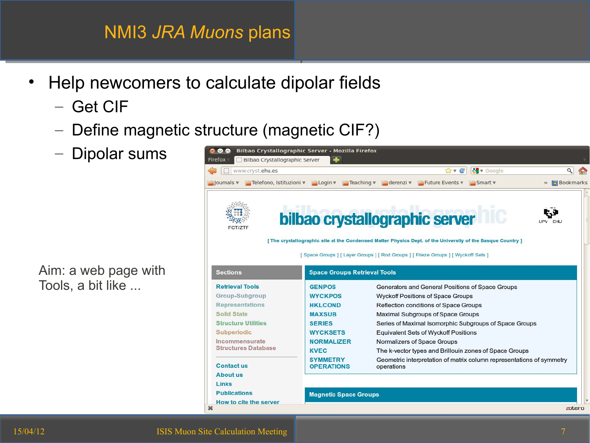#### NMI3 *JRA Muons* plans

- Help newcomers to calculate dipolar fields
	- Get CIF
	- Define magnetic structure (magnetic CIF?)
	- Dipolar sums

Aim: a web page with Tools, a bit like ...

| O<br>www.cryst.ehu.es                                                                                                                                                                                                         |                                     | V Google<br>$\bigcirc$ v $\bigcirc$                                                                           | Q |
|-------------------------------------------------------------------------------------------------------------------------------------------------------------------------------------------------------------------------------|-------------------------------------|---------------------------------------------------------------------------------------------------------------|---|
| $\exists$ Journals $\nabla$                                                                                                                                                                                                   |                                     | Telefono, Istituzioni v Cogin v Cheaching v Cherenzi v Chure Events v<br><b>Bookmarks</b><br>Smart v<br>$\gg$ |   |
|                                                                                                                                                                                                                               |                                     |                                                                                                               |   |
|                                                                                                                                                                                                                               |                                     | t J<br>bilbao crystallographic server<br>FHU.                                                                 |   |
| <b>FCT/ZTF</b>                                                                                                                                                                                                                |                                     |                                                                                                               |   |
|                                                                                                                                                                                                                               |                                     | [ The crystallographic site at the Condensed Matter Physics Dept. of the University of the Basque Country ]   |   |
|                                                                                                                                                                                                                               |                                     |                                                                                                               |   |
|                                                                                                                                                                                                                               |                                     | [Space Groups] [ Layer Groups ] [ Rod Groups ] [ Frieze Groups ] [ Wyckoff Sets ]                             |   |
| <b>Sections</b>                                                                                                                                                                                                               | <b>Space Groups Retrieval Tools</b> |                                                                                                               |   |
|                                                                                                                                                                                                                               |                                     |                                                                                                               |   |
|                                                                                                                                                                                                                               | <b>GENPOS</b>                       | Generators and General Positions of Space Groups                                                              |   |
|                                                                                                                                                                                                                               | <b>WYCKPOS</b>                      | <b>Wyckoff Positions of Space Groups</b>                                                                      |   |
|                                                                                                                                                                                                                               | <b>HKLCOND</b>                      | Reflection conditions of Space Groups                                                                         |   |
|                                                                                                                                                                                                                               | <b>MAXSUB</b>                       | <b>Maximal Subgroups of Space Groups</b>                                                                      |   |
|                                                                                                                                                                                                                               | <b>SERIES</b>                       | Series of Maximal Isomorphic Subgroups of Space Groups                                                        |   |
|                                                                                                                                                                                                                               | <b>WYCKSETS</b>                     | <b>Equivalent Sets of Wyckoff Positions</b>                                                                   |   |
|                                                                                                                                                                                                                               | <b>NORMALIZER</b>                   | Normalizers of Space Groups                                                                                   |   |
|                                                                                                                                                                                                                               | <b>KVEC</b>                         | The k-vector types and Brillouin zones of Space Groups                                                        |   |
|                                                                                                                                                                                                                               | <b>SYMMETRY</b>                     | Geometric interpretation of matrix column representations of symmetry                                         |   |
|                                                                                                                                                                                                                               | <b>OPERATIONS</b>                   | operations                                                                                                    |   |
| <b>Retrieval Tools</b><br>Group-Subgroup<br><b>Representations</b><br><b>Solid State</b><br><b>Structure Utilities</b><br>Subperiodic<br>Incommensurate<br><b>Structures Database</b><br><b>Contact us</b><br><b>About us</b> |                                     |                                                                                                               |   |
| Links<br><b>Publications</b>                                                                                                                                                                                                  | <b>Magnetic Space Groups</b>        |                                                                                                               |   |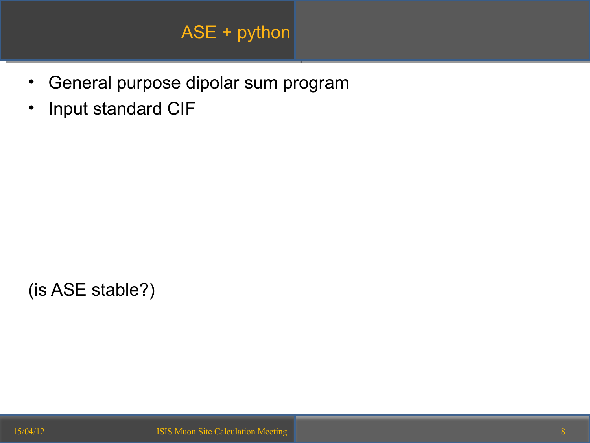## ASE + python

- General purpose dipolar sum program
- Input standard CIF

(is ASE stable?)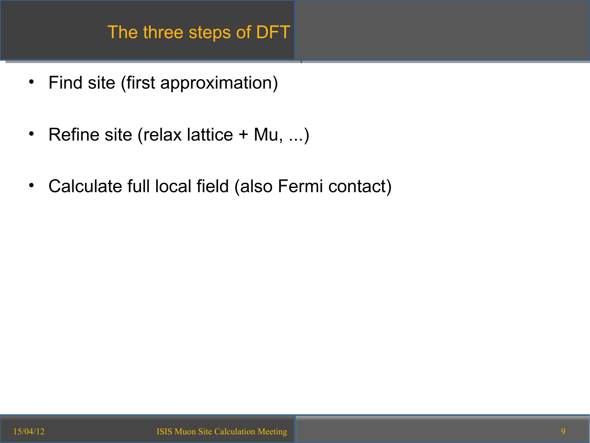- Find site (first approximation)
- Refine site (relax lattice + Mu, ...)
- Calculate full local field (also Fermi contact)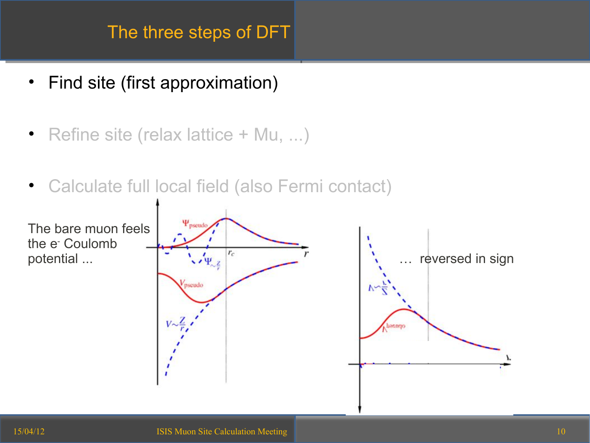- Find site (first approximation)
- Refine site (relax lattice + Mu, ...)
- Calculate full local field (also Fermi contact)

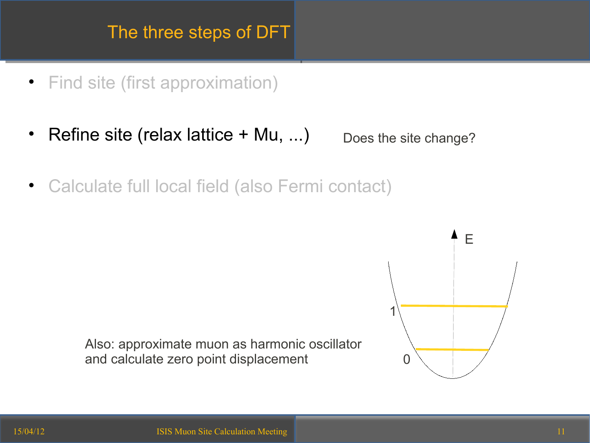- Find site (first approximation)
- Refine site (relax lattice + Mu, ...) Does the site change?
- Calculate full local field (also Fermi contact)



Also: approximate muon as harmonic oscillator and calculate zero point displacement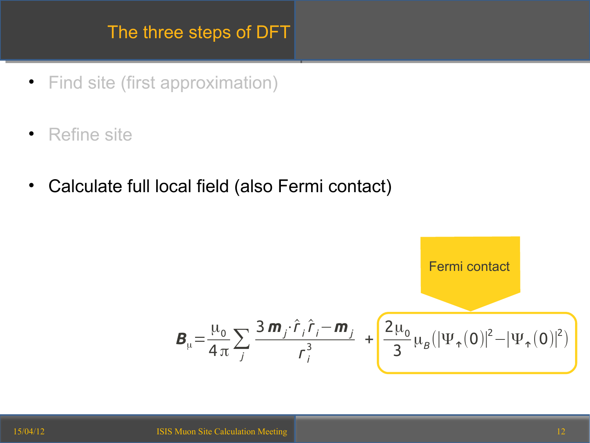- Find site (first approximation)
- Refine site
- Calculate full local field (also Fermi contact)

Fermi contact  
\nFermi contact  
\n
$$
\mathbf{B}_{\mu} = \frac{\mu_0}{4 \pi} \sum_{j} \frac{3 \, \mathbf{m}_j \cdot \hat{r}_j \hat{r}_j - \mathbf{m}_j}{r_j^3} + \left[ \frac{2 \mu_0}{3} \mu_B (|\Psi_{\hat{\tau}}(0)|^2 - |\Psi_{\hat{\tau}}(0)|^2) \right]
$$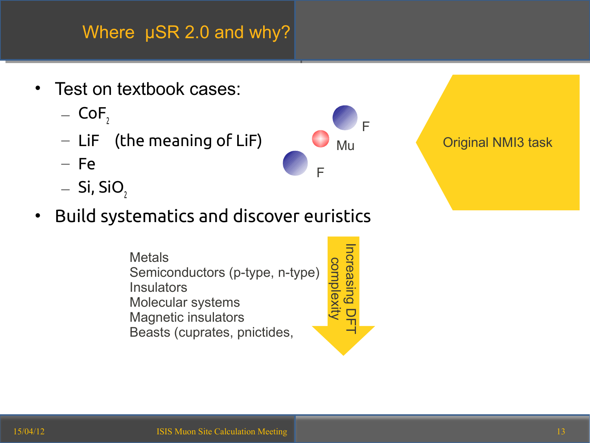## Where  $\mu$ SR 2.0 and why?

- Test on textbook cases:
	- $-$  CoF,
	- LiF (the meaning of LiF)
	- Fe
	- $-$  Si, SiO<sub>2</sub>
- Build systematics and discover euristics

**Metals** Semiconductors (p-type, n-type) **Insulators** Molecular systems Magnetic insulators Beasts (cuprates, pnictides,  $\frac{1}{\alpha}$  $\prec$ 

F

F

Mu

 $\overline{\mathbf{z}}$ C<br>G  $\overline{\mathbf{\omega}}$ sin<br>E  $\overline{\mathbf{C}}$  $\overline{\mathbf{C}}$  $\mathsf{T}$  $\overline{\phantom{0}}$ 

 $\mathsf{\Omega}$ o  $\Xi$ 

 $\breve{\Xi}$